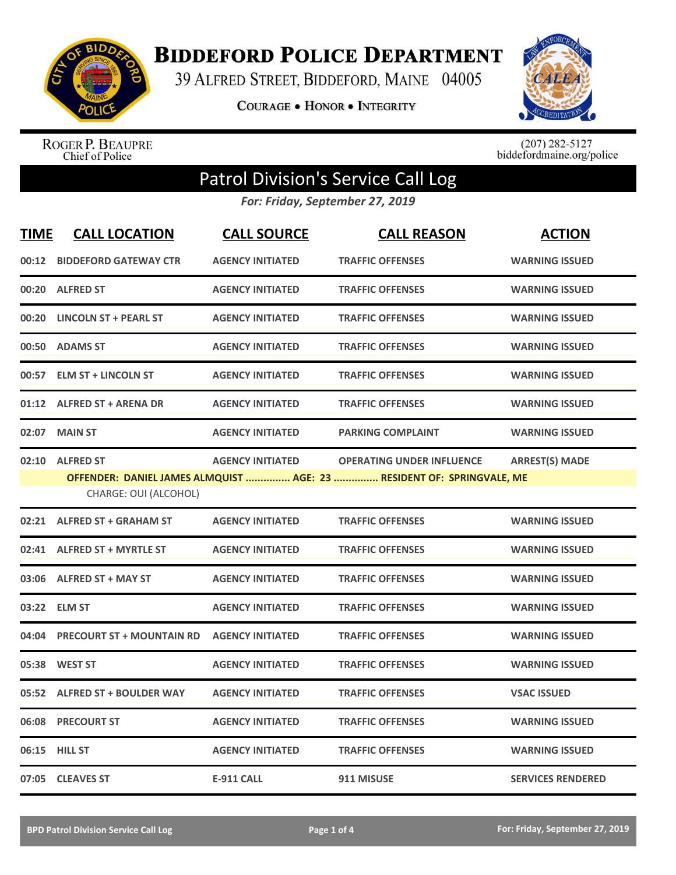

**BIDDEFORD POLICE DEPARTMENT** 

39 ALFRED STREET, BIDDEFORD, MAINE 04005

**COURAGE . HONOR . INTEGRITY** 



ROGER P. BEAUPRE<br>Chief of Police

 $(207)$  282-5127<br>biddefordmaine.org/police

## Patrol Division's Service Call Log

*For: Friday, September 27, 2019*

| <b>TIME</b> | <b>CALL LOCATION</b>                     | <b>CALL SOURCE</b>      | <b>CALL REASON</b>                                                                                        | <b>ACTION</b>            |
|-------------|------------------------------------------|-------------------------|-----------------------------------------------------------------------------------------------------------|--------------------------|
| 00:12       | <b>BIDDEFORD GATEWAY CTR</b>             | <b>AGENCY INITIATED</b> | <b>TRAFFIC OFFENSES</b>                                                                                   | <b>WARNING ISSUED</b>    |
| 00:20       | <b>ALFRED ST</b>                         | <b>AGENCY INITIATED</b> | <b>TRAFFIC OFFENSES</b>                                                                                   | <b>WARNING ISSUED</b>    |
| 00:20       | <b>LINCOLN ST + PEARL ST</b>             | <b>AGENCY INITIATED</b> | <b>TRAFFIC OFFENSES</b>                                                                                   | <b>WARNING ISSUED</b>    |
| 00:50       | <b>ADAMS ST</b>                          | <b>AGENCY INITIATED</b> | <b>TRAFFIC OFFENSES</b>                                                                                   | <b>WARNING ISSUED</b>    |
| 00:57       | <b>ELM ST + LINCOLN ST</b>               | <b>AGENCY INITIATED</b> | <b>TRAFFIC OFFENSES</b>                                                                                   | <b>WARNING ISSUED</b>    |
|             | 01:12 ALFRED ST + ARENA DR               | <b>AGENCY INITIATED</b> | <b>TRAFFIC OFFENSES</b>                                                                                   | <b>WARNING ISSUED</b>    |
| 02:07       | <b>MAIN ST</b>                           | <b>AGENCY INITIATED</b> | <b>PARKING COMPLAINT</b>                                                                                  | <b>WARNING ISSUED</b>    |
|             | 02:10 ALFRED ST<br>CHARGE: OUI (ALCOHOL) | <b>AGENCY INITIATED</b> | <b>OPERATING UNDER INFLUENCE</b><br>OFFENDER: DANIEL JAMES ALMQUIST  AGE: 23  RESIDENT OF: SPRINGVALE, ME | <b>ARREST(S) MADE</b>    |
|             | 02:21 ALFRED ST + GRAHAM ST              | <b>AGENCY INITIATED</b> | <b>TRAFFIC OFFENSES</b>                                                                                   | <b>WARNING ISSUED</b>    |
|             | 02:41 ALFRED ST + MYRTLE ST              | <b>AGENCY INITIATED</b> | <b>TRAFFIC OFFENSES</b>                                                                                   | <b>WARNING ISSUED</b>    |
|             | 03:06 ALFRED ST + MAY ST                 | <b>AGENCY INITIATED</b> | <b>TRAFFIC OFFENSES</b>                                                                                   | <b>WARNING ISSUED</b>    |
|             | 03:22 ELM ST                             | <b>AGENCY INITIATED</b> | <b>TRAFFIC OFFENSES</b>                                                                                   | <b>WARNING ISSUED</b>    |
| 04:04       | <b>PRECOURT ST + MOUNTAIN RD</b>         | <b>AGENCY INITIATED</b> | <b>TRAFFIC OFFENSES</b>                                                                                   | <b>WARNING ISSUED</b>    |
| 05:38       | <b>WEST ST</b>                           | <b>AGENCY INITIATED</b> | <b>TRAFFIC OFFENSES</b>                                                                                   | <b>WARNING ISSUED</b>    |
|             | 05:52 ALFRED ST + BOULDER WAY            | <b>AGENCY INITIATED</b> | <b>TRAFFIC OFFENSES</b>                                                                                   | <b>VSAC ISSUED</b>       |
| 06:08       | <b>PRECOURT ST</b>                       | <b>AGENCY INITIATED</b> | <b>TRAFFIC OFFENSES</b>                                                                                   | <b>WARNING ISSUED</b>    |
| 06:15       | <b>HILL ST</b>                           | <b>AGENCY INITIATED</b> | <b>TRAFFIC OFFENSES</b>                                                                                   | <b>WARNING ISSUED</b>    |
|             | 07:05 CLEAVES ST                         | <b>E-911 CALL</b>       | 911 MISUSE                                                                                                | <b>SERVICES RENDERED</b> |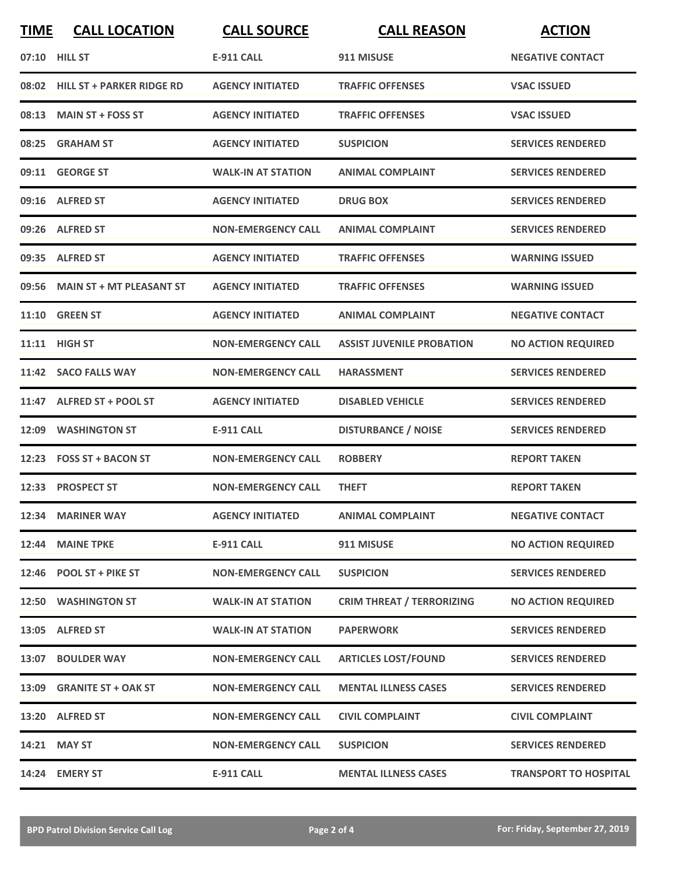| <b>TIME</b> | <b>CALL LOCATION</b>            | <b>CALL SOURCE</b>        | <b>CALL REASON</b>               | <b>ACTION</b>                |
|-------------|---------------------------------|---------------------------|----------------------------------|------------------------------|
|             | 07:10 HILL ST                   | <b>E-911 CALL</b>         | 911 MISUSE                       | <b>NEGATIVE CONTACT</b>      |
|             | 08:02 HILL ST + PARKER RIDGE RD | <b>AGENCY INITIATED</b>   | <b>TRAFFIC OFFENSES</b>          | <b>VSAC ISSUED</b>           |
|             | 08:13 MAIN ST + FOSS ST         | <b>AGENCY INITIATED</b>   | <b>TRAFFIC OFFENSES</b>          | <b>VSAC ISSUED</b>           |
|             | 08:25 GRAHAM ST                 | <b>AGENCY INITIATED</b>   | <b>SUSPICION</b>                 | <b>SERVICES RENDERED</b>     |
|             | 09:11 GEORGE ST                 | <b>WALK-IN AT STATION</b> | <b>ANIMAL COMPLAINT</b>          | <b>SERVICES RENDERED</b>     |
|             | 09:16 ALFRED ST                 | <b>AGENCY INITIATED</b>   | <b>DRUG BOX</b>                  | <b>SERVICES RENDERED</b>     |
|             | 09:26 ALFRED ST                 | <b>NON-EMERGENCY CALL</b> | <b>ANIMAL COMPLAINT</b>          | <b>SERVICES RENDERED</b>     |
|             | 09:35 ALFRED ST                 | <b>AGENCY INITIATED</b>   | <b>TRAFFIC OFFENSES</b>          | <b>WARNING ISSUED</b>        |
| 09:56       | <b>MAIN ST + MT PLEASANT ST</b> | <b>AGENCY INITIATED</b>   | <b>TRAFFIC OFFENSES</b>          | <b>WARNING ISSUED</b>        |
| 11:10       | <b>GREEN ST</b>                 | <b>AGENCY INITIATED</b>   | <b>ANIMAL COMPLAINT</b>          | <b>NEGATIVE CONTACT</b>      |
|             | 11:11 HIGH ST                   | <b>NON-EMERGENCY CALL</b> | <b>ASSIST JUVENILE PROBATION</b> | <b>NO ACTION REQUIRED</b>    |
|             | 11:42 SACO FALLS WAY            | <b>NON-EMERGENCY CALL</b> | <b>HARASSMENT</b>                | <b>SERVICES RENDERED</b>     |
| 11:47       | <b>ALFRED ST + POOL ST</b>      | <b>AGENCY INITIATED</b>   | <b>DISABLED VEHICLE</b>          | <b>SERVICES RENDERED</b>     |
| 12:09       | <b>WASHINGTON ST</b>            | <b>E-911 CALL</b>         | <b>DISTURBANCE / NOISE</b>       | <b>SERVICES RENDERED</b>     |
|             | 12:23 FOSS ST + BACON ST        | <b>NON-EMERGENCY CALL</b> | <b>ROBBERY</b>                   | <b>REPORT TAKEN</b>          |
|             | 12:33 PROSPECT ST               | <b>NON-EMERGENCY CALL</b> | <b>THEFT</b>                     | <b>REPORT TAKEN</b>          |
|             | 12:34 MARINER WAY               | <b>AGENCY INITIATED</b>   | <b>ANIMAL COMPLAINT</b>          | <b>NEGATIVE CONTACT</b>      |
| 12:44       | <b>MAINE TPKE</b>               | <b>E-911 CALL</b>         | 911 MISUSE                       | <b>NO ACTION REQUIRED</b>    |
|             | 12:46 POOL ST + PIKE ST         | <b>NON-EMERGENCY CALL</b> | <b>SUSPICION</b>                 | <b>SERVICES RENDERED</b>     |
|             | 12:50 WASHINGTON ST             | <b>WALK-IN AT STATION</b> | <b>CRIM THREAT / TERRORIZING</b> | <b>NO ACTION REQUIRED</b>    |
|             | 13:05 ALFRED ST                 | <b>WALK-IN AT STATION</b> | <b>PAPERWORK</b>                 | <b>SERVICES RENDERED</b>     |
|             | 13:07 BOULDER WAY               | <b>NON-EMERGENCY CALL</b> | <b>ARTICLES LOST/FOUND</b>       | <b>SERVICES RENDERED</b>     |
|             | 13:09 GRANITE ST + OAK ST       | <b>NON-EMERGENCY CALL</b> | <b>MENTAL ILLNESS CASES</b>      | <b>SERVICES RENDERED</b>     |
|             | 13:20 ALFRED ST                 | <b>NON-EMERGENCY CALL</b> | <b>CIVIL COMPLAINT</b>           | <b>CIVIL COMPLAINT</b>       |
|             | 14:21 MAY ST                    | <b>NON-EMERGENCY CALL</b> | <b>SUSPICION</b>                 | <b>SERVICES RENDERED</b>     |
|             | 14:24 EMERY ST                  | <b>E-911 CALL</b>         | <b>MENTAL ILLNESS CASES</b>      | <b>TRANSPORT TO HOSPITAL</b> |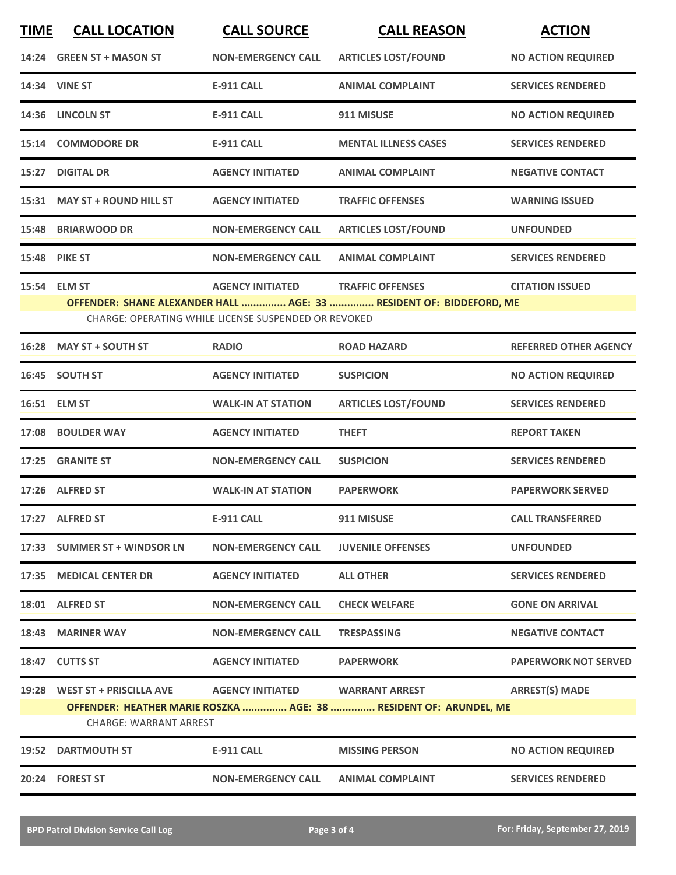| <b>TIME</b> | <b>CALL LOCATION</b>                                                                                                               | <b>CALL SOURCE</b>        | <b>CALL REASON</b>                                                | <b>ACTION</b>                |  |
|-------------|------------------------------------------------------------------------------------------------------------------------------------|---------------------------|-------------------------------------------------------------------|------------------------------|--|
|             | 14:24 GREEN ST + MASON ST                                                                                                          | <b>NON-EMERGENCY CALL</b> | <b>ARTICLES LOST/FOUND</b>                                        | <b>NO ACTION REQUIRED</b>    |  |
|             | 14:34 VINE ST                                                                                                                      | <b>E-911 CALL</b>         | <b>ANIMAL COMPLAINT</b>                                           | <b>SERVICES RENDERED</b>     |  |
|             | 14:36 LINCOLN ST                                                                                                                   | <b>E-911 CALL</b>         | 911 MISUSE                                                        | <b>NO ACTION REQUIRED</b>    |  |
|             | 15:14 COMMODORE DR                                                                                                                 | <b>E-911 CALL</b>         | <b>MENTAL ILLNESS CASES</b>                                       | <b>SERVICES RENDERED</b>     |  |
|             | 15:27 DIGITAL DR                                                                                                                   | <b>AGENCY INITIATED</b>   | <b>ANIMAL COMPLAINT</b>                                           | <b>NEGATIVE CONTACT</b>      |  |
|             | 15:31 MAY ST + ROUND HILL ST                                                                                                       | <b>AGENCY INITIATED</b>   | <b>TRAFFIC OFFENSES</b>                                           | <b>WARNING ISSUED</b>        |  |
|             | 15:48 BRIARWOOD DR                                                                                                                 | <b>NON-EMERGENCY CALL</b> | <b>ARTICLES LOST/FOUND</b>                                        | <b>UNFOUNDED</b>             |  |
|             | <b>15:48 PIKE ST</b>                                                                                                               | <b>NON-EMERGENCY CALL</b> | <b>ANIMAL COMPLAINT</b>                                           | <b>SERVICES RENDERED</b>     |  |
|             | 15:54 ELM ST                                                                                                                       | <b>AGENCY INITIATED</b>   | <b>TRAFFIC OFFENSES</b>                                           | <b>CITATION ISSUED</b>       |  |
|             | OFFENDER: SHANE ALEXANDER HALL  AGE: 33  RESIDENT OF: BIDDEFORD, ME<br><b>CHARGE: OPERATING WHILE LICENSE SUSPENDED OR REVOKED</b> |                           |                                                                   |                              |  |
|             | 16:28 MAY ST + SOUTH ST                                                                                                            | <b>RADIO</b>              | <b>ROAD HAZARD</b>                                                | <b>REFERRED OTHER AGENCY</b> |  |
|             | 16:45 SOUTH ST                                                                                                                     | <b>AGENCY INITIATED</b>   | <b>SUSPICION</b>                                                  | <b>NO ACTION REQUIRED</b>    |  |
|             | 16:51 ELM ST                                                                                                                       | <b>WALK-IN AT STATION</b> | <b>ARTICLES LOST/FOUND</b>                                        | <b>SERVICES RENDERED</b>     |  |
|             | 17:08 BOULDER WAY                                                                                                                  | <b>AGENCY INITIATED</b>   | <b>THEFT</b>                                                      | <b>REPORT TAKEN</b>          |  |
|             | 17:25 GRANITE ST                                                                                                                   | <b>NON-EMERGENCY CALL</b> | <b>SUSPICION</b>                                                  | <b>SERVICES RENDERED</b>     |  |
|             | 17:26 ALFRED ST                                                                                                                    | <b>WALK-IN AT STATION</b> | <b>PAPERWORK</b>                                                  | <b>PAPERWORK SERVED</b>      |  |
|             | 17:27 ALFRED ST                                                                                                                    | $E-911$ CALL              | 911 MISUSE                                                        | <b>CALL TRANSFERRED</b>      |  |
|             | 17:33 SUMMER ST + WINDSOR LN                                                                                                       | <b>NON-EMERGENCY CALL</b> | <b>JUVENILE OFFENSES</b>                                          | <b>UNFOUNDED</b>             |  |
|             | 17:35 MEDICAL CENTER DR                                                                                                            | <b>AGENCY INITIATED</b>   | <b>ALL OTHER</b>                                                  | <b>SERVICES RENDERED</b>     |  |
|             | 18:01 ALFRED ST                                                                                                                    | <b>NON-EMERGENCY CALL</b> | <b>CHECK WELFARE</b>                                              | <b>GONE ON ARRIVAL</b>       |  |
|             | 18:43 MARINER WAY                                                                                                                  | <b>NON-EMERGENCY CALL</b> | <b>TRESPASSING</b>                                                | <b>NEGATIVE CONTACT</b>      |  |
|             | 18:47 CUTTS ST                                                                                                                     | <b>AGENCY INITIATED</b>   | <b>PAPERWORK</b>                                                  | <b>PAPERWORK NOT SERVED</b>  |  |
|             |                                                                                                                                    |                           |                                                                   | <b>ARREST(S) MADE</b>        |  |
|             | <b>CHARGE: WARRANT ARREST</b>                                                                                                      |                           | OFFENDER: HEATHER MARIE ROSZKA  AGE: 38  RESIDENT OF: ARUNDEL, ME |                              |  |
|             | <b>19:52 DARTMOUTH ST</b>                                                                                                          | E-911 CALL                | <b>MISSING PERSON</b>                                             | <b>NO ACTION REQUIRED</b>    |  |
|             | 20:24 FOREST ST                                                                                                                    | <b>NON-EMERGENCY CALL</b> | <b>ANIMAL COMPLAINT</b>                                           | <b>SERVICES RENDERED</b>     |  |